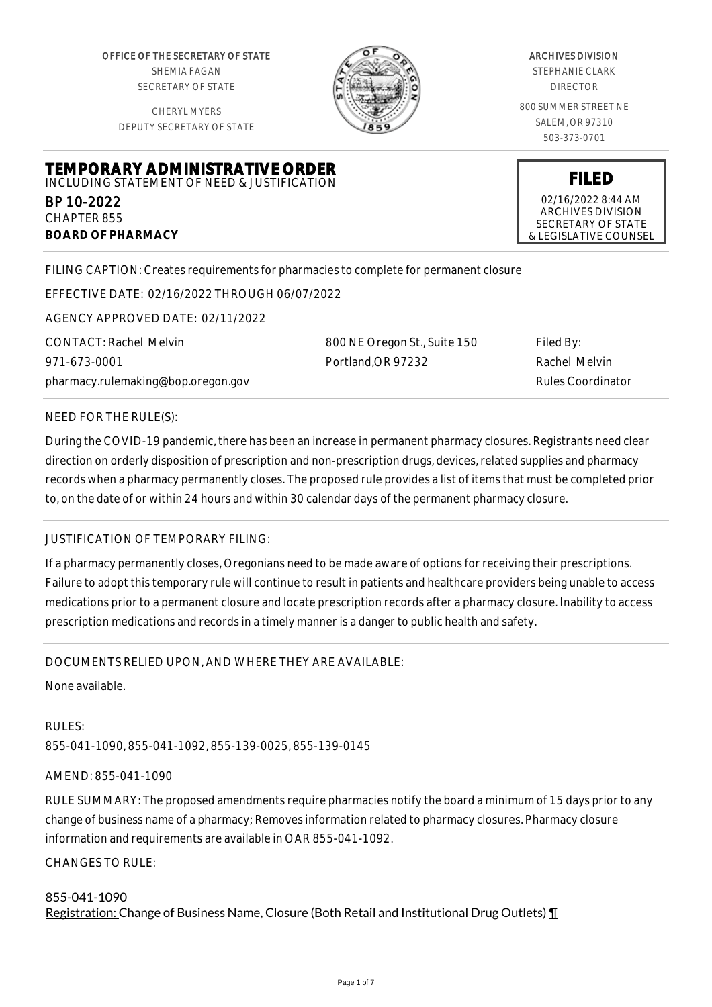OFFICE OF THE SECRETARY OF STATE SHEMIA FAGAN SECRETARY OF STATE

CHERYL MYERS DEPUTY SECRETARY OF STATE

**TEMPORARY ADMINISTRATIVE ORDER** INCLUDING STATEMENT OF NEED & JUSTIFICATION



#### ARCHIVES DIVISION

STEPHANIE CLARK DIRECTOR

800 SUMMER STREET NE SALEM, OR 97310 503-373-0701

**FILED**

02/16/2022 8:44 AM ARCHIVES DIVISION SECRETARY OF STATE & LEGISLATIVE COUNSEL

FILING CAPTION: Creates requirements for pharmacies to complete for permanent closure

EFFECTIVE DATE: 02/16/2022 THROUGH 06/07/2022

AGENCY APPROVED DATE: 02/11/2022

CONTACT: Rachel Melvin 971-673-0001 pharmacy.rulemaking@bop.oregon.gov 800 NE Oregon St., Suite 150 Portland,OR 97232

Filed By: Rachel Melvin Rules Coordinator

## NEED FOR THE RULE(S):

BP 10-2022 CHAPTER 855

**BOARD OF PHARMACY**

During the COVID-19 pandemic, there has been an increase in permanent pharmacy closures. Registrants need clear direction on orderly disposition of prescription and non-prescription drugs, devices, related supplies and pharmacy records when a pharmacy permanently closes. The proposed rule provides a list of items that must be completed prior to, on the date of or within 24 hours and within 30 calendar days of the permanent pharmacy closure.

### JUSTIFICATION OF TEMPORARY FILING:

If a pharmacy permanently closes, Oregonians need to be made aware of options for receiving their prescriptions. Failure to adopt this temporary rule will continue to result in patients and healthcare providers being unable to access medications prior to a permanent closure and locate prescription records after a pharmacy closure. Inability to access prescription medications and records in a timely manner is a danger to public health and safety.

### DOCUMENTS RELIED UPON, AND WHERE THEY ARE AVAILABLE:

None available.

RULES:

855-041-1090, 855-041-1092, 855-139-0025, 855-139-0145

### AMEND: 855-041-1090

RULE SUMMARY: The proposed amendments require pharmacies notify the board a minimum of 15 days prior to any change of business name of a pharmacy; Removes information related to pharmacy closures. Pharmacy closure information and requirements are available in OAR 855-041-1092.

CHANGES TO RULE:

# 855-041-1090 Registration: Change of Business Name<del>, Closure</del> (Both Retail and Institutional Drug Outlets) **T**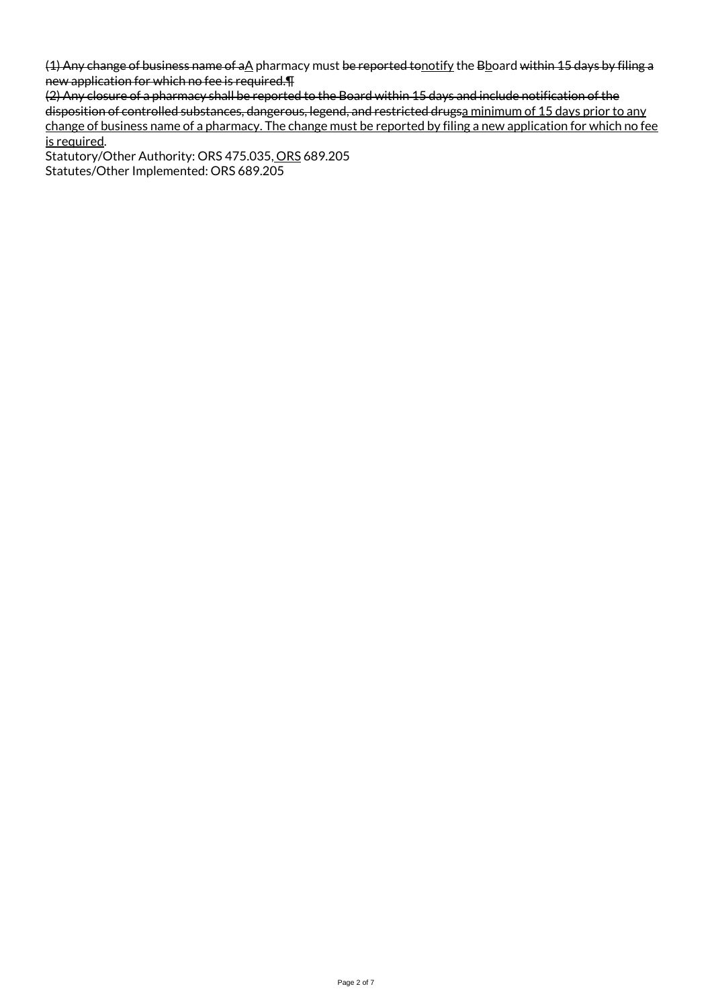(1) Any change of business name of aA pharmacy must be reported tonotify the Bboard within 15 days by filing a new application for which no fee is required.¶

(2) Any closure of a pharmacy shall be reported to the Board within 15 days and include notification of the disposition of controlled substances, dangerous, legend, and restricted drugsa minimum of 15 days prior to any change of business name of a pharmacy. The change must be reported by filing a new application for which no fee is required.

Statutory/Other Authority: ORS 475.035, ORS 689.205 Statutes/Other Implemented: ORS 689.205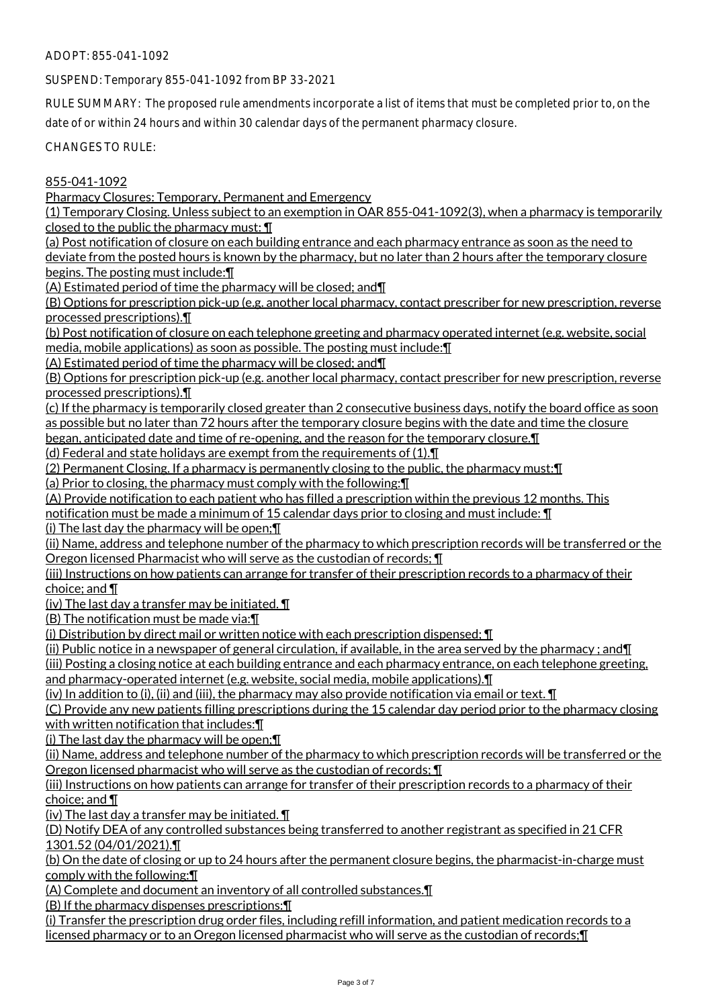ADOPT: 855-041-1092

SUSPEND: Temporary 855-041-1092 from BP 33-2021

RULE SUMMARY: The proposed rule amendments incorporate a list of items that must be completed prior to, on the date of or within 24 hours and within 30 calendar days of the permanent pharmacy closure.

CHANGES TO RULE:

## 855-041-1092

Pharmacy Closures: Temporary, Permanent and Emergency

(1) Temporary Closing. Unless subject to an exemption in OAR 855-041-1092(3), when a pharmacy is temporarily closed to the public the pharmacy must:  $\P$ 

(a) Post notification of closure on each building entrance and each pharmacy entrance as soon as the need to deviate from the posted hours is known by the pharmacy, but no later than 2 hours after the temporary closure begins. The posting must include:¶

(A) Estimated period of time the pharmacy will be closed; and¶

(B) Options for prescription pick-up (e.g. another local pharmacy, contact prescriber for new prescription, reverse processed prescriptions).¶

(b) Post notification of closure on each telephone greeting and pharmacy operated internet (e.g. website, social media, mobile applications) as soon as possible. The posting must include:¶

(A) Estimated period of time the pharmacy will be closed; and¶

(B) Options for prescription pick-up (e.g. another local pharmacy, contact prescriber for new prescription, reverse processed prescriptions).¶

(c) If the pharmacy is temporarily closed greater than 2 consecutive business days, notify the board office as soon as possible but no later than 72 hours after the temporary closure begins with the date and time the closure began, anticipated date and time of re-opening, and the reason for the temporary closure.¶

(d) Federal and state holidays are exempt from the requirements of (1).¶

(2) Permanent Closing. If a pharmacy is permanently closing to the public, the pharmacy must:¶

(a) Prior to closing, the pharmacy must comply with the following:¶

(A) Provide notification to each patient who has filled a prescription within the previous 12 months. This

notification must be made a minimum of 15 calendar days prior to closing and must include: ¶

(i) The last day the pharmacy will be open; $\P$ 

(ii) Name, address and telephone number of the pharmacy to which prescription records will be transferred or the Oregon licensed Pharmacist who will serve as the custodian of records; ¶

(iii) Instructions on how patients can arrange for transfer of their prescription records to a pharmacy of their choice; and ¶

(iv) The last day a transfer may be initiated. ¶

(B) The notification must be made via:¶

(i) Distribution by direct mail or written notice with each prescription dispensed; ¶

(ii) Public notice in a newspaper of general circulation, if available, in the area served by the pharmacy; and  $\P$ 

(iii) Posting a closing notice at each building entrance and each pharmacy entrance, on each telephone greeting, and pharmacy-operated internet (e.g. website, social media, mobile applications).¶

(iv) In addition to (i), (ii) and (iii), the pharmacy may also provide notification via email or text.  $\P$ 

(C) Provide any new patients filling prescriptions during the 15 calendar day period prior to the pharmacy closing with written notification that includes:¶

(i) The last day the pharmacy will be open;¶

(ii) Name, address and telephone number of the pharmacy to which prescription records will be transferred or the Oregon licensed pharmacist who will serve as the custodian of records; ¶

(iii) Instructions on how patients can arrange for transfer of their prescription records to a pharmacy of their choice; and ¶

(iv) The last day a transfer may be initiated.  $\P$ 

(D) Notify DEA of any controlled substances being transferred to another registrant as specified in 21 CFR 1301.52 (04/01/2021).¶

(b) On the date of closing or up to 24 hours after the permanent closure begins, the pharmacist-in-charge must comply with the following:¶

(A) Complete and document an inventory of all controlled substances.¶

(B) If the pharmacy dispenses prescriptions:¶

(i) Transfer the prescription drug order files, including refill information, and patient medication records to a licensed pharmacy or to an Oregon licensed pharmacist who will serve as the custodian of records;¶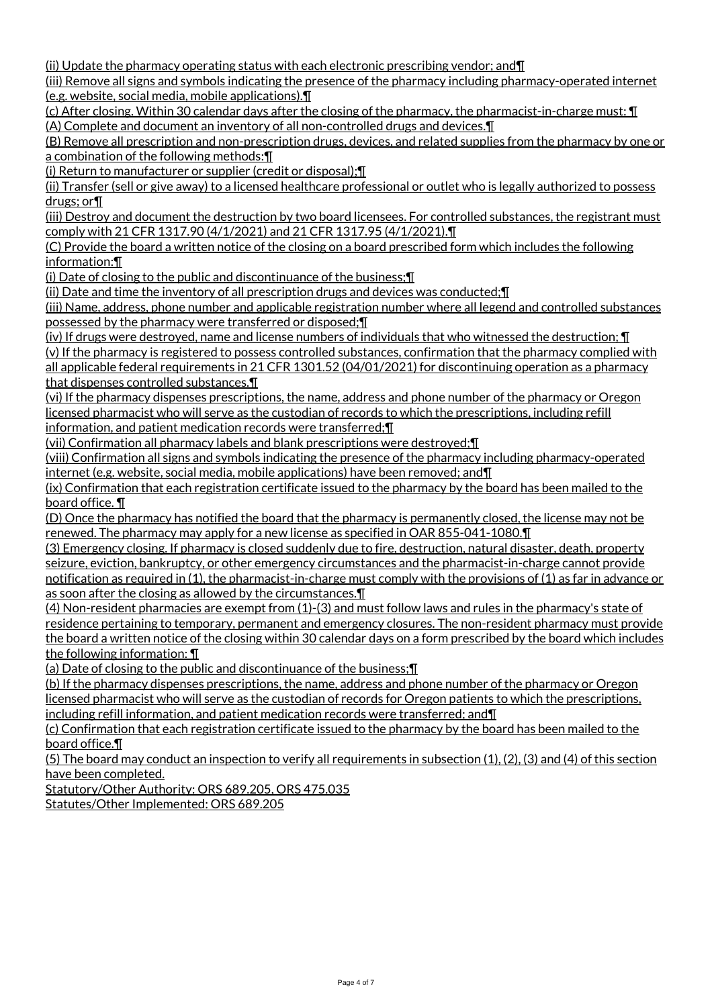(ii) Update the pharmacy operating status with each electronic prescribing vendor; and¶

(iii) Remove all signs and symbols indicating the presence of the pharmacy including pharmacy-operated internet (e.g. website, social media, mobile applications).¶

(c) After closing. Within 30 calendar days after the closing of the pharmacy, the pharmacist-in-charge must:  $\P$ (A) Complete and document an inventory of all non-controlled drugs and devices.¶

(B) Remove all prescription and non-prescription drugs, devices, and related supplies from the pharmacy by one or a combination of the following methods:¶

(i) Return to manufacturer or supplier (credit or disposal);¶

(ii) Transfer (sell or give away) to a licensed healthcare professional or outlet who is legally authorized to possess drugs; or¶

(iii) Destroy and document the destruction by two board licensees. For controlled substances, the registrant must comply with 21 CFR 1317.90 (4/1/2021) and 21 CFR 1317.95 (4/1/2021).¶

(C) Provide the board a written notice of the closing on a board prescribed form which includes the following information:¶

(i) Date of closing to the public and discontinuance of the business;¶

(ii) Date and time the inventory of all prescription drugs and devices was conducted;¶

(iii) Name, address, phone number and applicable registration number where all legend and controlled substances possessed by the pharmacy were transferred or disposed;¶

(iv) If drugs were destroyed, name and license numbers of individuals that who witnessed the destruction; ¶ (v) If the pharmacy is registered to possess controlled substances, confirmation that the pharmacy complied with all applicable federal requirements in 21 CFR 1301.52 (04/01/2021) for discontinuing operation as a pharmacy that dispenses controlled substances.¶

(vi) If the pharmacy dispenses prescriptions, the name, address and phone number of the pharmacy or Oregon licensed pharmacist who will serve as the custodian of records to which the prescriptions, including refill information, and patient medication records were transferred;¶

(vii) Confirmation all pharmacy labels and blank prescriptions were destroyed;¶

(viii) Confirmation all signs and symbols indicating the presence of the pharmacy including pharmacy-operated internet (e.g. website, social media, mobile applications) have been removed; and¶

(ix) Confirmation that each registration certificate issued to the pharmacy by the board has been mailed to the board office. ¶

(D) Once the pharmacy has notified the board that the pharmacy is permanently closed, the license may not be renewed. The pharmacy may apply for a new license as specified in OAR 855-041-1080.¶

(3) Emergency closing. If pharmacy is closed suddenly due to fire, destruction, natural disaster, death, property seizure, eviction, bankruptcy, or other emergency circumstances and the pharmacist-in-charge cannot provide notification as required in (1), the pharmacist-in-charge must comply with the provisions of (1) as far in advance or as soon after the closing as allowed by the circumstances.¶

(4) Non-resident pharmacies are exempt from (1)-(3) and must follow laws and rules in the pharmacy's state of residence pertaining to temporary, permanent and emergency closures. The non-resident pharmacy must provide the board a written notice of the closing within 30 calendar days on a form prescribed by the board which includes the following information: ¶

(a) Date of closing to the public and discontinuance of the business;¶

(b) If the pharmacy dispenses prescriptions, the name, address and phone number of the pharmacy or Oregon licensed pharmacist who will serve as the custodian of records for Oregon patients to which the prescriptions, including refill information, and patient medication records were transferred; and¶

(c) Confirmation that each registration certificate issued to the pharmacy by the board has been mailed to the board office.¶

(5) The board may conduct an inspection to verify all requirements in subsection (1), (2), (3) and (4) of this section have been completed.

Statutory/Other Authority: ORS 689.205, ORS 475.035

Statutes/Other Implemented: ORS 689.205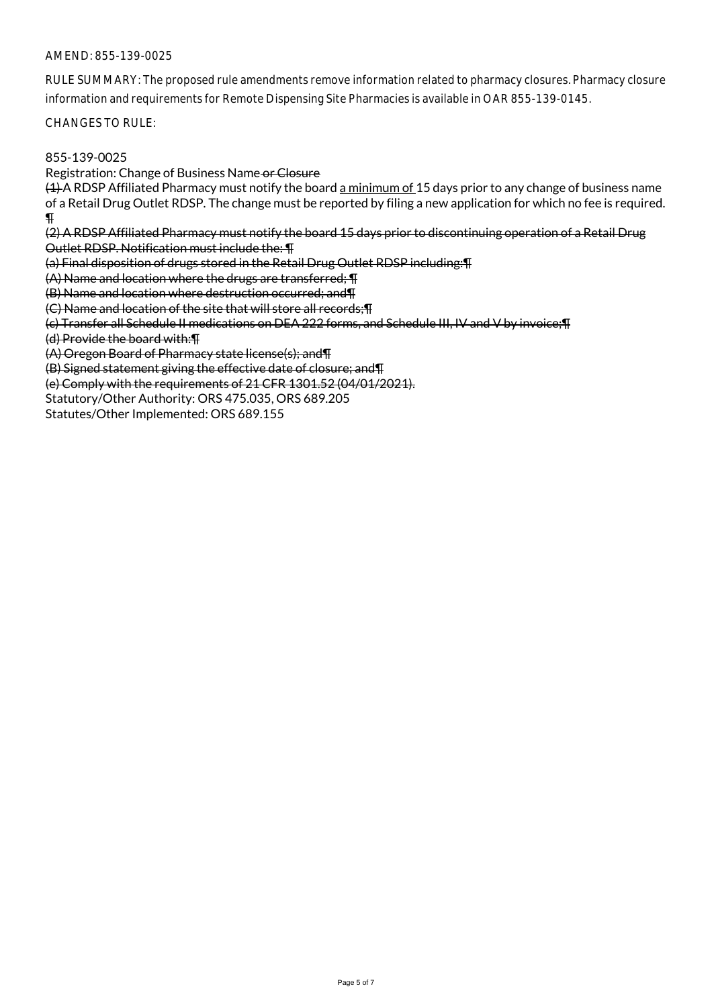## AMEND: 855-139-0025

RULE SUMMARY: The proposed rule amendments remove information related to pharmacy closures. Pharmacy closure information and requirements for Remote Dispensing Site Pharmacies is available in OAR 855-139-0145.

CHANGES TO RULE:

## 855-139-0025

Registration: Change of Business Name or Closure

 $(4)$  A RDSP Affiliated Pharmacy must notify the board a minimum of 15 days prior to any change of business name of a Retail Drug Outlet RDSP. The change must be reported by filing a new application for which no fee is required.  $\overline{\mathbf{P}}$ 

(2) A RDSP Affiliated Pharmacy must notify the board 15 days prior to discontinuing operation of a Retail Drug Outlet RDSP. Notification must include the: ¶

(a) Final disposition of drugs stored in the Retail Drug Outlet RDSP including:¶

(A) Name and location where the drugs are transferred; ¶

(B) Name and location where destruction occurred; and¶

(C) Name and location of the site that will store all records;¶

(c) Transfer all Schedule II medications on DEA 222 forms, and Schedule III, IV and V by invoice;¶

(d) Provide the board with:¶

(A) Oregon Board of Pharmacy state license(s); and¶

(B) Signed statement giving the effective date of closure; and¶

(e) Comply with the requirements of 21 CFR 1301.52 (04/01/2021).

Statutory/Other Authority: ORS 475.035, ORS 689.205

Statutes/Other Implemented: ORS 689.155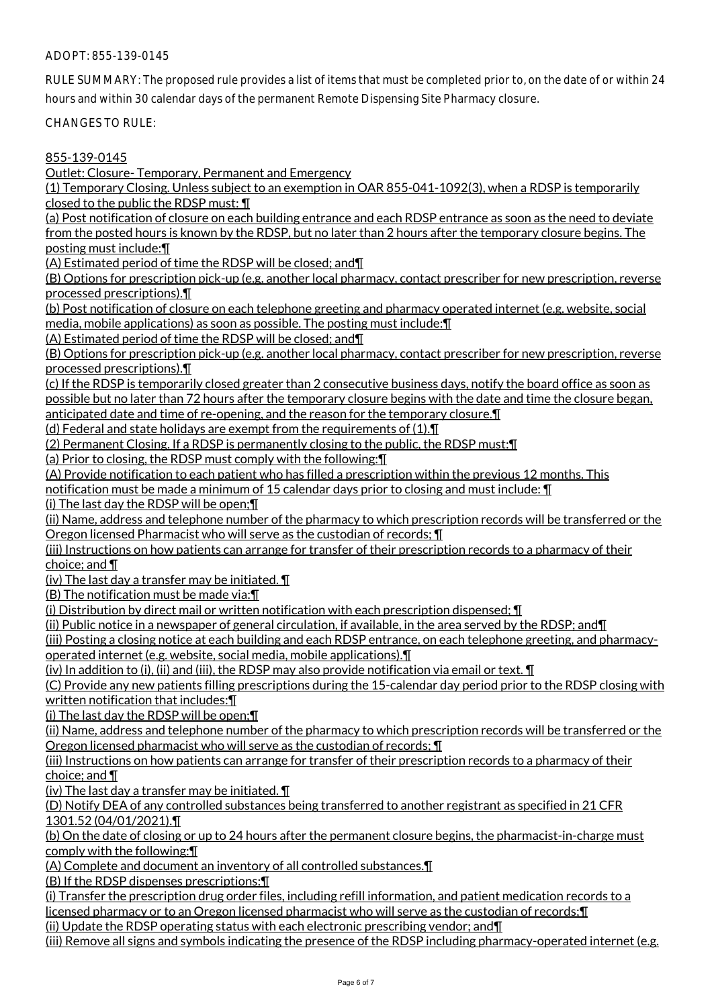## ADOPT: 855-139-0145

RULE SUMMARY: The proposed rule provides a list of items that must be completed prior to, on the date of or within 24 hours and within 30 calendar days of the permanent Remote Dispensing Site Pharmacy closure.

CHANGES TO RULE:

## 855-139-0145

Outlet: Closure- Temporary, Permanent and Emergency

(1) Temporary Closing. Unless subject to an exemption in OAR 855-041-1092(3), when a RDSP is temporarily closed to the public the RDSP must: ¶

(a) Post notification of closure on each building entrance and each RDSP entrance as soon as the need to deviate from the posted hours is known by the RDSP, but no later than 2 hours after the temporary closure begins. The

posting must include:¶

(A) Estimated period of time the RDSP will be closed; and¶

(B) Options for prescription pick-up (e.g. another local pharmacy, contact prescriber for new prescription, reverse processed prescriptions).¶

(b) Post notification of closure on each telephone greeting and pharmacy operated internet (e.g. website, social media, mobile applications) as soon as possible. The posting must include:¶

(A) Estimated period of time the RDSP will be closed; and¶

(B) Options for prescription pick-up (e.g. another local pharmacy, contact prescriber for new prescription, reverse processed prescriptions).¶

(c) If the RDSP is temporarily closed greater than 2 consecutive business days, notify the board office as soon as possible but no later than 72 hours after the temporary closure begins with the date and time the closure began,

anticipated date and time of re-opening, and the reason for the temporary closure.¶

(d) Federal and state holidays are exempt from the requirements of  $(1)$ .  $\P$ 

(2) Permanent Closing. If a RDSP is permanently closing to the public, the RDSP must:¶

(a) Prior to closing, the RDSP must comply with the following:¶

(A) Provide notification to each patient who has filled a prescription within the previous 12 months. This

notification must be made a minimum of 15 calendar days prior to closing and must include:  $\P$ 

(i) The last day the RDSP will be open;¶

(ii) Name, address and telephone number of the pharmacy to which prescription records will be transferred or the Oregon licensed Pharmacist who will serve as the custodian of records; ¶

(iii) Instructions on how patients can arrange for transfer of their prescription records to a pharmacy of their choice; and ¶

(iv) The last day a transfer may be initiated.  $\P$ 

(B) The notification must be made via:¶

(i) Distribution by direct mail or written notification with each prescription dispensed; ¶

(ii) Public notice in a newspaper of general circulation, if available, in the area served by the RDSP; and¶

(iii) Posting a closing notice at each building and each RDSP entrance, on each telephone greeting, and pharmacyoperated internet (e.g. website, social media, mobile applications).¶

(iv) In addition to (i), (ii) and (iii), the RDSP may also provide notification via email or text.  $\P$ 

(C) Provide any new patients filling prescriptions during the 15-calendar day period prior to the RDSP closing with written notification that includes:¶

(i) The last day the RDSP will be open;¶

(ii) Name, address and telephone number of the pharmacy to which prescription records will be transferred or the Oregon licensed pharmacist who will serve as the custodian of records; ¶

(iii) Instructions on how patients can arrange for transfer of their prescription records to a pharmacy of their choice; and ¶

(iv) The last day a transfer may be initiated.  $\P$ 

(D) Notify DEA of any controlled substances being transferred to another registrant as specified in 21 CFR 1301.52 (04/01/2021).¶

(b) On the date of closing or up to 24 hours after the permanent closure begins, the pharmacist-in-charge must comply with the following:¶

(A) Complete and document an inventory of all controlled substances.¶

(B) If the RDSP dispenses prescriptions:¶

(i) Transfer the prescription drug order files, including refill information, and patient medication records to a licensed pharmacy or to an Oregon licensed pharmacist who will serve as the custodian of records;¶

(ii) Update the RDSP operating status with each electronic prescribing vendor; and¶

(iii) Remove all signs and symbols indicating the presence of the RDSP including pharmacy-operated internet (e.g.